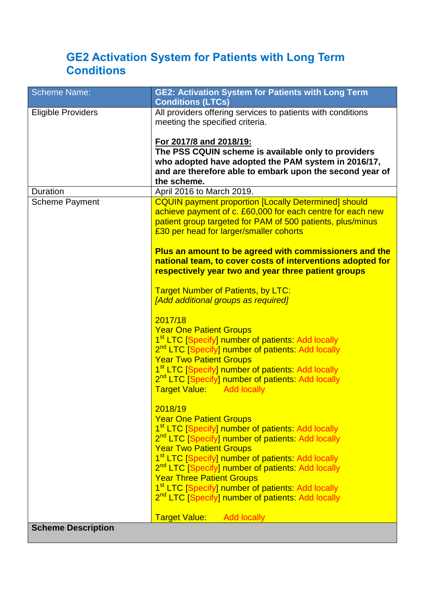# **GE2 Activation System for Patients with Long Term Conditions**

| <b>Scheme Name:</b>       | GE2: Activation System for Patients with Long Term<br><b>Conditions (LTCs)</b>                                                                                                                                                     |
|---------------------------|------------------------------------------------------------------------------------------------------------------------------------------------------------------------------------------------------------------------------------|
| <b>Eligible Providers</b> | All providers offering services to patients with conditions<br>meeting the specified criteria.                                                                                                                                     |
|                           | For 2017/8 and 2018/19:                                                                                                                                                                                                            |
|                           | The PSS CQUIN scheme is available only to providers                                                                                                                                                                                |
|                           | who adopted have adopted the PAM system in 2016/17,<br>and are therefore able to embark upon the second year of                                                                                                                    |
|                           | the scheme.                                                                                                                                                                                                                        |
| <b>Duration</b>           | April 2016 to March 2019.                                                                                                                                                                                                          |
| <b>Scheme Payment</b>     | <b>CQUIN payment proportion [Locally Determined] should</b><br>achieve payment of c. £60,000 for each centre for each new<br>patient group targeted for PAM of 500 patients, plus/minus<br>£30 per head for larger/smaller cohorts |
|                           | Plus an amount to be agreed with commissioners and the<br>national team, to cover costs of interventions adopted for<br>respectively year two and year three patient groups                                                        |
|                           |                                                                                                                                                                                                                                    |
|                           | <b>Target Number of Patients, by LTC:</b>                                                                                                                                                                                          |
|                           | [Add additional groups as required]                                                                                                                                                                                                |
|                           | 2017/18                                                                                                                                                                                                                            |
|                           | <b>Year One Patient Groups</b>                                                                                                                                                                                                     |
|                           | 1 <sup>st</sup> LTC [Specify] number of patients: Add locally                                                                                                                                                                      |
|                           | 2 <sup>nd</sup> LTC [Specify] number of patients: Add locally<br><b>Year Two Patient Groups</b>                                                                                                                                    |
|                           | 1 <sup>st</sup> LTC [Specify] number of patients: Add locally                                                                                                                                                                      |
|                           | 2 <sup>nd</sup> LTC [Specify] number of patients: Add locally                                                                                                                                                                      |
|                           | Target Value: Add locally                                                                                                                                                                                                          |
|                           | 2018/19                                                                                                                                                                                                                            |
|                           | <b>Year One Patient Groups</b>                                                                                                                                                                                                     |
|                           | 1 <sup>st</sup> LTC [Specify] number of patients: Add locally                                                                                                                                                                      |
|                           | 2 <sup>nd</sup> LTC [Specify] number of patients: Add locally                                                                                                                                                                      |
|                           | <b>Year Two Patient Groups</b>                                                                                                                                                                                                     |
|                           | 1 <sup>st</sup> LTC [Specify] number of patients: Add locally<br>2 <sup>nd</sup> LTC [Specify] number of patients: Add locally                                                                                                     |
|                           | <b>Year Three Patient Groups</b>                                                                                                                                                                                                   |
|                           | 1 <sup>st</sup> LTC [Specify] number of patients: Add locally                                                                                                                                                                      |
|                           | 2 <sup>nd</sup> LTC [Specify] number of patients: Add locally                                                                                                                                                                      |
|                           | <b>Target Value:</b> Add locally                                                                                                                                                                                                   |
| <b>Scheme Description</b> |                                                                                                                                                                                                                                    |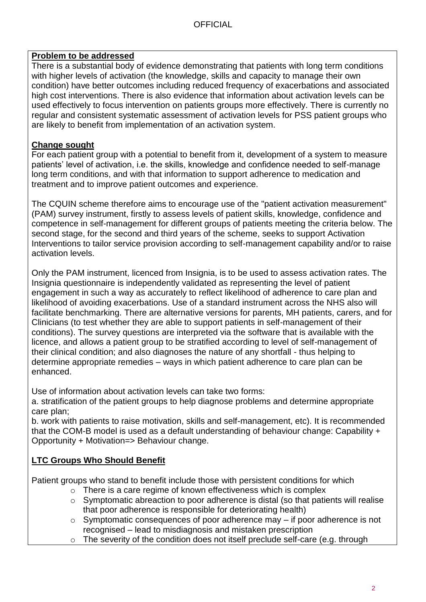### **Problem to be addressed**

There is a substantial body of evidence demonstrating that patients with long term conditions with higher levels of activation (the knowledge, skills and capacity to manage their own condition) have better outcomes including reduced frequency of exacerbations and associated high cost interventions. There is also evidence that information about activation levels can be used effectively to focus intervention on patients groups more effectively. There is currently no regular and consistent systematic assessment of activation levels for PSS patient groups who are likely to benefit from implementation of an activation system.

### **Change sought**

For each patient group with a potential to benefit from it, development of a system to measure patients' level of activation, i.e. the skills, knowledge and confidence needed to self-manage long term conditions, and with that information to support adherence to medication and treatment and to improve patient outcomes and experience.

The CQUIN scheme therefore aims to encourage use of the "patient activation measurement" (PAM) survey instrument, firstly to assess levels of patient skills, knowledge, confidence and competence in self-management for different groups of patients meeting the criteria below. The second stage, for the second and third years of the scheme, seeks to support Activation Interventions to tailor service provision according to self-management capability and/or to raise activation levels.

Only the PAM instrument, licenced from Insignia, is to be used to assess activation rates. The Insignia questionnaire is independently validated as representing the level of patient engagement in such a way as accurately to reflect likelihood of adherence to care plan and likelihood of avoiding exacerbations. Use of a standard instrument across the NHS also will facilitate benchmarking. There are alternative versions for parents, MH patients, carers, and for Clinicians (to test whether they are able to support patients in self-management of their conditions). The survey questions are interpreted via the software that is available with the licence, and allows a patient group to be stratified according to level of self-management of their clinical condition; and also diagnoses the nature of any shortfall - thus helping to determine appropriate remedies – ways in which patient adherence to care plan can be enhanced.

Use of information about activation levels can take two forms:

a. stratification of the patient groups to help diagnose problems and determine appropriate care plan;

b. work with patients to raise motivation, skills and self-management, etc). It is recommended that the COM-B model is used as a default understanding of behaviour change: Capability + Opportunity + Motivation=> Behaviour change.

## **LTC Groups Who Should Benefit**

Patient groups who stand to benefit include those with persistent conditions for which

- o There is a care regime of known effectiveness which is complex
- o Symptomatic abreaction to poor adherence is distal (so that patients will realise that poor adherence is responsible for deteriorating health)
- o Symptomatic consequences of poor adherence may if poor adherence is not recognised – lead to misdiagnosis and mistaken prescription
- $\circ$  The severity of the condition does not itself preclude self-care (e.g. through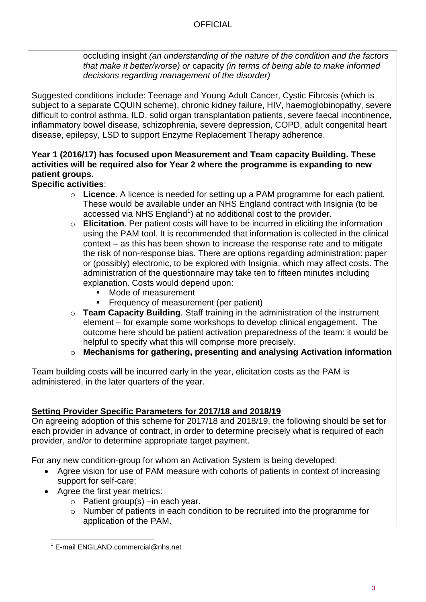## **OFFICIAL**

occluding insight *(an understanding of the nature of the condition and the factors that make it better/worse) or* capacity *(in terms of being able to make informed decisions regarding management of the disorder)*

Suggested conditions include: Teenage and Young Adult Cancer, Cystic Fibrosis (which is subject to a separate CQUIN scheme), chronic kidney failure, HIV, haemoglobinopathy, severe difficult to control asthma, ILD, solid organ transplantation patients, severe faecal incontinence, inflammatory bowel disease, schizophrenia, severe depression, COPD, adult congenital heart disease, epilepsy, LSD to support Enzyme Replacement Therapy adherence.

## **Year 1 (2016/17) has focused upon Measurement and Team capacity Building. These activities will be required also for Year 2 where the programme is expanding to new patient groups.**

# **Specific activities**:

- o **Licence**. A licence is needed for setting up a PAM programme for each patient. These would be available under an NHS England contract with Insignia (to be accessed via NHS England<sup>1</sup>) at no additional cost to the provider.
- o **Elicitation**. Per patient costs will have to be incurred in eliciting the information using the PAM tool. It is recommended that information is collected in the clinical context – as this has been shown to increase the response rate and to mitigate the risk of non-response bias. There are options regarding administration: paper or (possibly) electronic, to be explored with Insignia, which may affect costs. The administration of the questionnaire may take ten to fifteen minutes including explanation. Costs would depend upon:
	- Mode of measurement
	- **Figure 1** Frequency of measurement (per patient)
- o **Team Capacity Building**. Staff training in the administration of the instrument element – for example some workshops to develop clinical engagement. The outcome here should be patient activation preparedness of the team: it would be helpful to specify what this will comprise more precisely.

o **Mechanisms for gathering, presenting and analysing Activation information** 

Team building costs will be incurred early in the year, elicitation costs as the PAM is administered, in the later quarters of the year.

# **Setting Provider Specific Parameters for 2017/18 and 2018/19**

On agreeing adoption of this scheme for 2017/18 and 2018/19, the following should be set for each provider in advance of contract, in order to determine precisely what is required of each provider, and/or to determine appropriate target payment.

For any new condition-group for whom an Activation System is being developed:

- Agree vision for use of PAM measure with cohorts of patients in context of increasing support for self-care;
- Agree the first year metrics:
	- o Patient group(s) –in each year.
	- o Number of patients in each condition to be recruited into the programme for application of the PAM.

 1 E-mail ENGLAND.commercial@nhs.net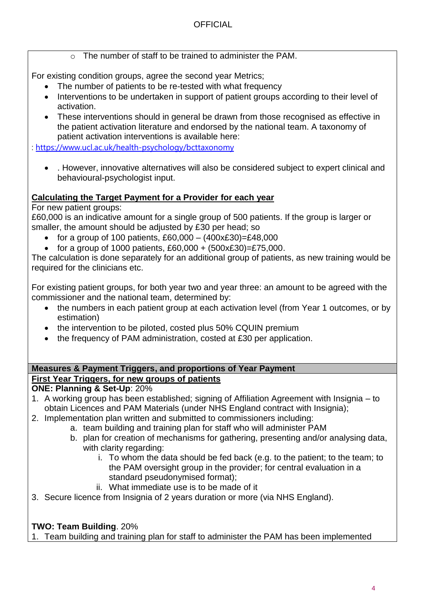o The number of staff to be trained to administer the PAM.

For existing condition groups, agree the second year Metrics;

- The number of patients to be re-tested with what frequency
- Interventions to be undertaken in support of patient groups according to their level of activation.
- These interventions should in general be drawn from those recognised as effective in the patient activation literature and endorsed by the national team. A taxonomy of patient activation interventions is available here:

: <https://www.ucl.ac.uk/health-psychology/bcttaxonomy>

 . However, innovative alternatives will also be considered subject to expert clinical and behavioural-psychologist input.

## **Calculating the Target Payment for a Provider for each year**

For new patient groups:

£60,000 is an indicative amount for a single group of 500 patients. If the group is larger or smaller, the amount should be adjusted by £30 per head; so

- for a group of 100 patients, £60,000  $(400 \times £30)$ =£48,000
- for a group of 1000 patients,  $£60,000 + (500 \times £30) = £75,000$ .

The calculation is done separately for an additional group of patients, as new training would be required for the clinicians etc.

For existing patient groups, for both year two and year three: an amount to be agreed with the commissioner and the national team, determined by:

- the numbers in each patient group at each activation level (from Year 1 outcomes, or by estimation)
- the intervention to be piloted, costed plus 50% CQUIN premium
- the frequency of PAM administration, costed at £30 per application.

## **Measures & Payment Triggers, and proportions of Year Payment First Year Triggers, for new groups of patients**

## **ONE: Planning & Set-Up**: 20%

- 1. A working group has been established; signing of Affiliation Agreement with Insignia to obtain Licences and PAM Materials (under NHS England contract with Insignia);
- 2. Implementation plan written and submitted to commissioners including:
	- a. team building and training plan for staff who will administer PAM
	- b. plan for creation of mechanisms for gathering, presenting and/or analysing data, with clarity regarding:
		- i. To whom the data should be fed back (e.g. to the patient; to the team; to the PAM oversight group in the provider; for central evaluation in a standard pseudonymised format);
		- ii. What immediate use is to be made of it
- 3. Secure licence from Insignia of 2 years duration or more (via NHS England).

# **TWO: Team Building**. 20%

1. Team building and training plan for staff to administer the PAM has been implemented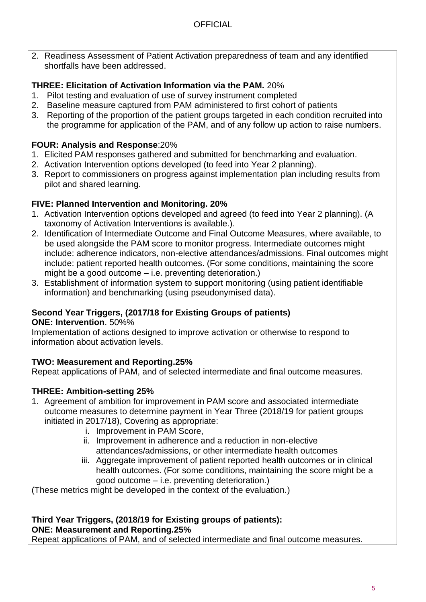2. Readiness Assessment of Patient Activation preparedness of team and any identified shortfalls have been addressed.

# **THREE: Elicitation of Activation Information via the PAM.** 20%

- 1. Pilot testing and evaluation of use of survey instrument completed
- 2. Baseline measure captured from PAM administered to first cohort of patients
- 3. Reporting of the proportion of the patient groups targeted in each condition recruited into the programme for application of the PAM, and of any follow up action to raise numbers.

# **FOUR: Analysis and Response**:20%

- 1. Elicited PAM responses gathered and submitted for benchmarking and evaluation.
- 2. Activation Intervention options developed (to feed into Year 2 planning).
- 3. Report to commissioners on progress against implementation plan including results from pilot and shared learning.

# **FIVE: Planned Intervention and Monitoring. 20%**

- 1. Activation Intervention options developed and agreed (to feed into Year 2 planning). (A taxonomy of Activation Interventions is available.).
- 2. Identification of Intermediate Outcome and Final Outcome Measures, where available, to be used alongside the PAM score to monitor progress. Intermediate outcomes might include: adherence indicators, non-elective attendances/admissions. Final outcomes might include: patient reported health outcomes. (For some conditions, maintaining the score might be a good outcome – i.e. preventing deterioration.)
- 3. Establishment of information system to support monitoring (using patient identifiable information) and benchmarking (using pseudonymised data).

# **Second Year Triggers, (2017/18 for Existing Groups of patients)**

**ONE: Intervention**. 50%%

Implementation of actions designed to improve activation or otherwise to respond to information about activation levels.

# **TWO: Measurement and Reporting.25%**

Repeat applications of PAM, and of selected intermediate and final outcome measures.

# **THREE: Ambition-setting 25%**

- 1. Agreement of ambition for improvement in PAM score and associated intermediate outcome measures to determine payment in Year Three (2018/19 for patient groups initiated in 2017/18), Covering as appropriate:
	- i. Improvement in PAM Score,
	- ii. Improvement in adherence and a reduction in non-elective attendances/admissions, or other intermediate health outcomes
	- iii. Aggregate improvement of patient reported health outcomes or in clinical health outcomes. (For some conditions, maintaining the score might be a good outcome – i.e. preventing deterioration.)

(These metrics might be developed in the context of the evaluation.)

### **Third Year Triggers, (2018/19 for Existing groups of patients): ONE: Measurement and Reporting.25%**

Repeat applications of PAM, and of selected intermediate and final outcome measures.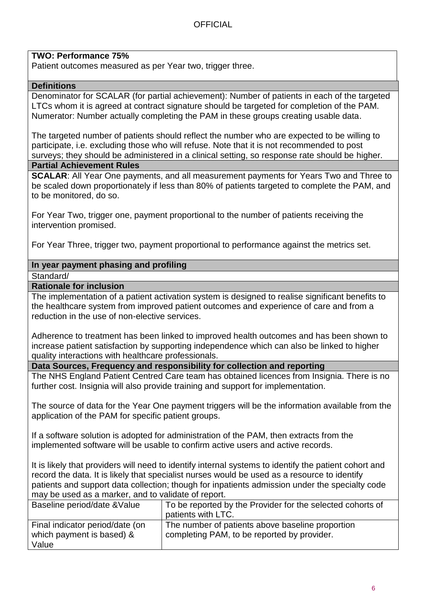### **TWO: Performance 75%**

Patient outcomes measured as per Year two, trigger three.

### **Definitions**

Denominator for SCALAR (for partial achievement): Number of patients in each of the targeted LTCs whom it is agreed at contract signature should be targeted for completion of the PAM. Numerator: Number actually completing the PAM in these groups creating usable data.

The targeted number of patients should reflect the number who are expected to be willing to participate, i.e. excluding those who will refuse. Note that it is not recommended to post surveys; they should be administered in a clinical setting, so response rate should be higher.

### **Partial Achievement Rules**

**SCALAR**: All Year One payments, and all measurement payments for Years Two and Three to be scaled down proportionately if less than 80% of patients targeted to complete the PAM, and to be monitored, do so.

For Year Two, trigger one, payment proportional to the number of patients receiving the intervention promised.

For Year Three, trigger two, payment proportional to performance against the metrics set.

### **In year payment phasing and profiling**

Standard/

#### **Rationale for inclusion**

The implementation of a patient activation system is designed to realise significant benefits to the healthcare system from improved patient outcomes and experience of care and from a reduction in the use of non-elective services.

Adherence to treatment has been linked to improved health outcomes and has been shown to increase patient satisfaction by supporting independence which can also be linked to higher quality interactions with healthcare professionals.

**Data Sources, Frequency and responsibility for collection and reporting**

The NHS England Patient Centred Care team has obtained licences from Insignia. There is no further cost. Insignia will also provide training and support for implementation.

The source of data for the Year One payment triggers will be the information available from the application of the PAM for specific patient groups.

If a software solution is adopted for administration of the PAM, then extracts from the implemented software will be usable to confirm active users and active records.

It is likely that providers will need to identify internal systems to identify the patient cohort and record the data. It is likely that specialist nurses would be used as a resource to identify patients and support data collection; though for inpatients admission under the specialty code may be used as a marker, and to validate of report.

| Baseline period/date & Value    | To be reported by the Provider for the selected cohorts of<br>patients with LTC. |
|---------------------------------|----------------------------------------------------------------------------------|
| Final indicator period/date (on | The number of patients above baseline proportion                                 |
| which payment is based) &       | completing PAM, to be reported by provider.                                      |
| Value                           |                                                                                  |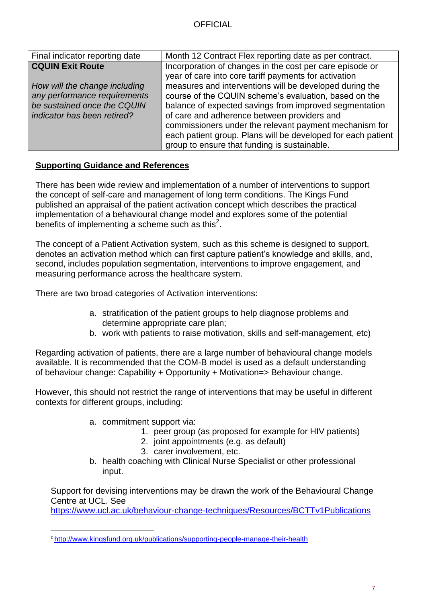| Final indicator reporting date | Month 12 Contract Flex reporting date as per contract.       |
|--------------------------------|--------------------------------------------------------------|
| <b>CQUIN Exit Route</b>        | Incorporation of changes in the cost per care episode or     |
|                                | year of care into core tariff payments for activation        |
| How will the change including  | measures and interventions will be developed during the      |
| any performance requirements   | course of the CQUIN scheme's evaluation, based on the        |
| be sustained once the CQUIN    | balance of expected savings from improved segmentation       |
| indicator has been retired?    | of care and adherence between providers and                  |
|                                | commissioners under the relevant payment mechanism for       |
|                                | each patient group. Plans will be developed for each patient |
|                                | group to ensure that funding is sustainable.                 |

### **Supporting Guidance and References**

There has been wide review and implementation of a number of interventions to support the concept of self-care and management of long term conditions. The Kings Fund published an appraisal of the patient activation concept which describes the practical implementation of a behavioural change model and explores some of the potential benefits of implementing a scheme such as this<sup>2</sup>.

The concept of a Patient Activation system, such as this scheme is designed to support, denotes an activation method which can first capture patient's knowledge and skills, and, second, includes population segmentation, interventions to improve engagement, and measuring performance across the healthcare system.

There are two broad categories of Activation interventions:

- a. stratification of the patient groups to help diagnose problems and determine appropriate care plan;
- b. work with patients to raise motivation, skills and self-management, etc)

Regarding activation of patients, there are a large number of behavioural change models available. It is recommended that the COM-B model is used as a default understanding of behaviour change: Capability + Opportunity + Motivation=> Behaviour change.

However, this should not restrict the range of interventions that may be useful in different contexts for different groups, including:

- a. commitment support via:
	- 1. peer group (as proposed for example for HIV patients)
	- 2. joint appointments (e.g. as default)
	- 3. carer involvement, etc.
- b. health coaching with Clinical Nurse Specialist or other professional input.

Support for devising interventions may be drawn the work of the Behavioural Change Centre at UCL. See

<https://www.ucl.ac.uk/behaviour-change-techniques/Resources/BCTTv1Publications>

l <sup>2</sup> <http://www.kingsfund.org.uk/publications/supporting-people-manage-their-health>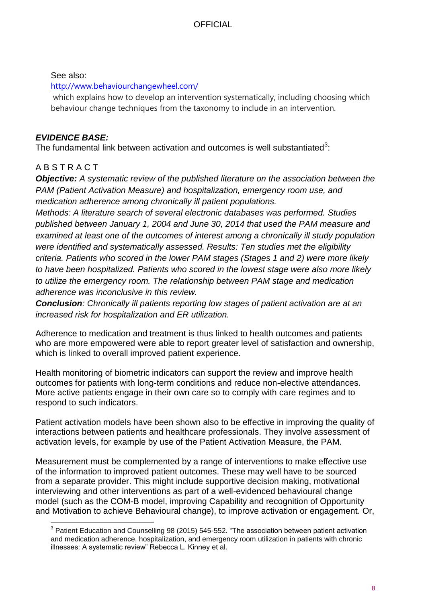See also:

<http://www.behaviourchangewheel.com/>

which explains how to develop an intervention systematically, including choosing which behaviour change techniques from the taxonomy to include in an intervention.

# *EVIDENCE BASE:*

The fundamental link between activation and outcomes is well substantiated<sup>3</sup>:

# A B S T R A C T

l

*Objective: A systematic review of the published literature on the association between the PAM (Patient Activation Measure) and hospitalization, emergency room use, and medication adherence among chronically ill patient populations.* 

*Methods: A literature search of several electronic databases was performed. Studies published between January 1, 2004 and June 30, 2014 that used the PAM measure and examined at least one of the outcomes of interest among a chronically ill study population were identified and systematically assessed. Results: Ten studies met the eligibility criteria. Patients who scored in the lower PAM stages (Stages 1 and 2) were more likely to have been hospitalized. Patients who scored in the lowest stage were also more likely to utilize the emergency room. The relationship between PAM stage and medication adherence was inconclusive in this review.* 

*Conclusion: Chronically ill patients reporting low stages of patient activation are at an increased risk for hospitalization and ER utilization.* 

Adherence to medication and treatment is thus linked to health outcomes and patients who are more empowered were able to report greater level of satisfaction and ownership, which is linked to overall improved patient experience.

Health monitoring of biometric indicators can support the review and improve health outcomes for patients with long-term conditions and reduce non-elective attendances. More active patients engage in their own care so to comply with care regimes and to respond to such indicators.

Patient activation models have been shown also to be effective in improving the quality of interactions between patients and healthcare professionals. They involve assessment of activation levels, for example by use of the Patient Activation Measure, the PAM.

Measurement must be complemented by a range of interventions to make effective use of the information to improved patient outcomes. These may well have to be sourced from a separate provider. This might include supportive decision making, motivational interviewing and other interventions as part of a well-evidenced behavioural change model (such as the COM-B model, improving Capability and recognition of Opportunity and Motivation to achieve Behavioural change), to improve activation or engagement. Or,

 $3$  Patient Education and Counselling 98 (2015) 545-552. "The association between patient activation and medication adherence, hospitalization, and emergency room utilization in patients with chronic illnesses: A systematic review" Rebecca L. Kinney et al.